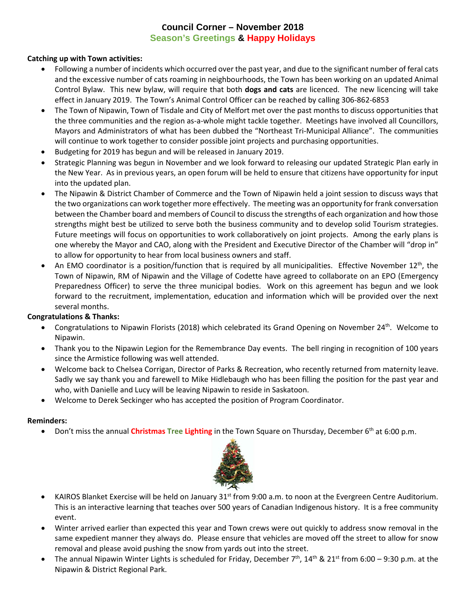## **Council Corner – November 2018 Season's Greetings & Happy Holidays**

### **Catching up with Town activities:**

- Following a number of incidents which occurred over the past year, and due to the significant number of feral cats and the excessive number of cats roaming in neighbourhoods, the Town has been working on an updated Animal Control Bylaw. This new bylaw, will require that both **dogs and cats** are licenced. The new licencing will take effect in January 2019. The Town's Animal Control Officer can be reached by calling 306-862-6853
- The Town of Nipawin, Town of Tisdale and City of Melfort met over the past months to discuss opportunities that the three communities and the region as-a-whole might tackle together. Meetings have involved all Councillors, Mayors and Administrators of what has been dubbed the "Northeast Tri-Municipal Alliance". The communities will continue to work together to consider possible joint projects and purchasing opportunities.
- Budgeting for 2019 has begun and will be released in January 2019.
- Strategic Planning was begun in November and we look forward to releasing our updated Strategic Plan early in the New Year. As in previous years, an open forum will be held to ensure that citizens have opportunity for input into the updated plan.
- The Nipawin & District Chamber of Commerce and the Town of Nipawin held a joint session to discuss ways that the two organizations can work together more effectively. The meeting was an opportunity for frank conversation between the Chamber board and members of Council to discussthe strengths of each organization and how those strengths might best be utilized to serve both the business community and to develop solid Tourism strategies. Future meetings will focus on opportunities to work collaboratively on joint projects. Among the early plans is one whereby the Mayor and CAO, along with the President and Executive Director of the Chamber will "drop in" to allow for opportunity to hear from local business owners and staff.
- An EMO coordinator is a position/function that is required by all municipalities. Effective November  $12<sup>th</sup>$ , the Town of Nipawin, RM of Nipawin and the Village of Codette have agreed to collaborate on an EPO (Emergency Preparedness Officer) to serve the three municipal bodies. Work on this agreement has begun and we look forward to the recruitment, implementation, education and information which will be provided over the next several months.

#### **Congratulations & Thanks:**

- Congratulations to Nipawin Florists (2018) which celebrated its Grand Opening on November 24th. Welcome to Nipawin.
- Thank you to the Nipawin Legion for the Remembrance Day events. The bell ringing in recognition of 100 years since the Armistice following was well attended.
- Welcome back to Chelsea Corrigan, Director of Parks & Recreation, who recently returned from maternity leave. Sadly we say thank you and farewell to Mike Hidlebaugh who has been filling the position for the past year and who, with Danielle and Lucy will be leaving Nipawin to reside in Saskatoon.
- Welcome to Derek Seckinger who has accepted the position of Program Coordinator.

#### **Reminders:**

• Don't miss the annual **Christmas Tree Lighting** in the Town Square on Thursday, December 6<sup>th</sup> at 6:00 p.m.



- KAIROS Blanket Exercise will be held on January 31<sup>st</sup> from 9:00 a.m. to noon at the Evergreen Centre Auditorium. This is an interactive learning that teaches over 500 years of Canadian Indigenous history. It is a free community event.
- Winter arrived earlier than expected this year and Town crews were out quickly to address snow removal in the same expedient manner they always do. Please ensure that vehicles are moved off the street to allow for snow removal and please avoid pushing the snow from yards out into the street.
- The annual Nipawin Winter Lights is scheduled for Friday, December  $7^{th}$ ,  $14^{th}$  &  $21^{st}$  from 6:00 9:30 p.m. at the Nipawin & District Regional Park.